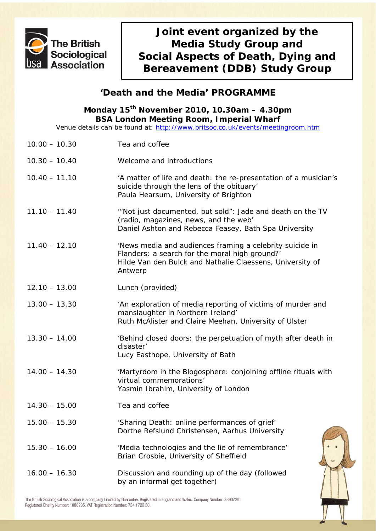

**Joint event organized by the Media Study Group and Social Aspects of Death, Dying and Bereavement (DDB) Study Group** 

## **'Death and the Media' PROGRAMME**

| Monday $15^{th}$ November 2010, 10.30am – 4.30pm<br><b>BSA London Meeting Room, Imperial Wharf</b><br>Venue details can be found at: http://www.britsoc.co.uk/events/meetingroom.htm |                                                                                                                                                                                    |
|--------------------------------------------------------------------------------------------------------------------------------------------------------------------------------------|------------------------------------------------------------------------------------------------------------------------------------------------------------------------------------|
| $10.00 - 10.30$                                                                                                                                                                      | Tea and coffee                                                                                                                                                                     |
| $10.30 - 10.40$                                                                                                                                                                      | Welcome and introductions                                                                                                                                                          |
| $10.40 - 11.10$                                                                                                                                                                      | 'A matter of life and death: the re-presentation of a musician's<br>suicide through the lens of the obituary'<br>Paula Hearsum, University of Brighton                             |
| $11.10 - 11.40$                                                                                                                                                                      | "Not just documented, but sold": Jade and death on the TV<br>(radio, magazines, news, and the web'<br>Daniel Ashton and Rebecca Feasey, Bath Spa University                        |
| $11.40 - 12.10$                                                                                                                                                                      | 'News media and audiences framing a celebrity suicide in<br>Flanders: a search for the moral high ground?'<br>Hilde Van den Bulck and Nathalie Claessens, University of<br>Antwerp |
| $12.10 - 13.00$                                                                                                                                                                      | Lunch (provided)                                                                                                                                                                   |
| $13.00 - 13.30$                                                                                                                                                                      | 'An exploration of media reporting of victims of murder and<br>manslaughter in Northern Ireland'<br>Ruth McAlister and Claire Meehan, University of Ulster                         |
| $13.30 - 14.00$                                                                                                                                                                      | 'Behind closed doors: the perpetuation of myth after death in<br>disaster'<br>Lucy Easthope, University of Bath                                                                    |
| $14.00 - 14.30$                                                                                                                                                                      | 'Martyrdom in the Blogosphere: conjoining offline rituals with<br>virtual commemorations'<br>Yasmin Ibrahim, University of London                                                  |
| $14.30 - 15.00$                                                                                                                                                                      | Tea and coffee                                                                                                                                                                     |
| $15.00 - 15.30$                                                                                                                                                                      | 'Sharing Death: online performances of grief'<br>Dorthe Refslund Christensen, Aarhus University                                                                                    |
| $15.30 - 16.00$                                                                                                                                                                      | 'Media technologies and the lie of remembrance'<br>Brian Crosbie, University of Sheffield                                                                                          |
| $16.00 - 16.30$                                                                                                                                                                      | Discussion and rounding up of the day (followed<br>by an informal get together)                                                                                                    |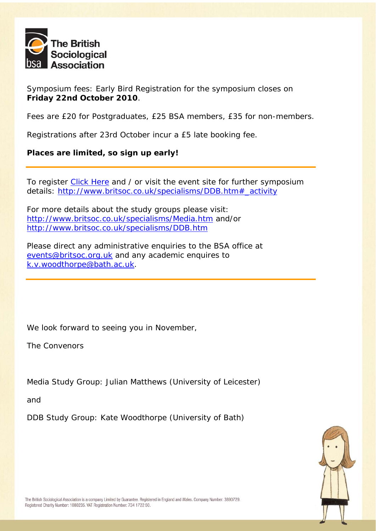

Symposium fees: Early Bird Registration for the symposium closes on **Friday 22nd October 2010**.

Fees are £20 for Postgraduates, £25 BSA members, £35 for non-members.

Registrations after 23rd October incur a £5 late booking fee.

**Places are limited, so sign up early!** 

To register [Click Here](http://bsas.esithosting.co.uk/public/event/eventBooking.aspx?id=EVT10080) and / or visit the event site for further symposium details: [http://www.britsoc.co.uk/specialisms/DDB.htm#\\_activity](http://www.britsoc.co.uk/specialisms/DDB.htm#_activity)

For more details about the study groups please visit: <http://www.britsoc.co.uk/specialisms/Media.htm>and/or <http://www.britsoc.co.uk/specialisms/DDB.htm>

Please direct any administrative enquiries to the BSA office at [events@britsoc.org.uk](mailto:events@britsoc.org.uk) and any academic enquires to [k.v.woodthorpe@bath.ac.uk.](mailto:k.v.woodthorpe@bath.ac.uk)

We look forward to seeing you in November,

The Convenors

Media Study Group: Julian Matthews (University of Leicester)

and

DDB Study Group: Kate Woodthorpe (University of Bath)

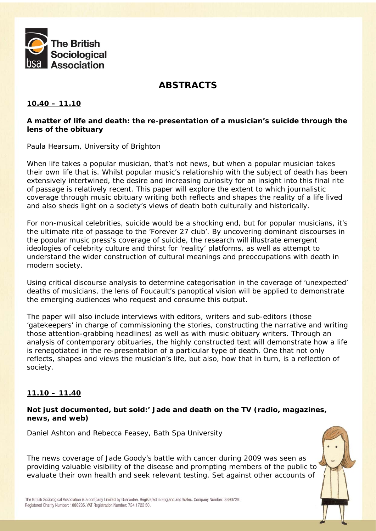

# **ABSTRACTS**

## **10.40 – 11.10**

#### **A matter of life and death: the re-presentation of a musician's suicide through the lens of the obituary**

Paula Hearsum, University of Brighton

When life takes a popular musician, that's not news, but when a popular musician takes their own life that is. Whilst popular music's relationship with the subject of death has been extensively intertwined, the desire and increasing curiosity for an insight into this final rite of passage is relatively recent. This paper will explore the extent to which journalistic coverage through music obituary writing both reflects and shapes the reality of a life lived and also sheds light on a society's views of death both culturally and historically.

For non-musical celebrities, suicide would be a shocking end, but for popular musicians, it's the ultimate rite of passage to the 'Forever 27 club'. By uncovering dominant discourses in the popular music press's coverage of suicide, the research will illustrate emergent ideologies of celebrity culture and thirst for 'reality' platforms, as well as attempt to understand the wider construction of cultural meanings and preoccupations with death in modern society.

Using critical discourse analysis to determine categorisation in the coverage of 'unexpected' deaths of musicians, the lens of Foucault's panoptical vision will be applied to demonstrate the emerging audiences who request and consume this output.

The paper will also include interviews with editors, writers and sub-editors (those 'gatekeepers' in charge of commissioning the stories, constructing the narrative and writing those attention-grabbing headlines) as well as with music obituary writers. Through an analysis of contemporary obituaries, the highly constructed text will demonstrate how a life is renegotiated in the re-presentation of a particular type of death. One that not only reflects, shapes and views the musician's life, but also, how that in turn, is a reflection of society.

#### **11.10 – 11.40**

#### **Not just documented, but sold:' Jade and death on the TV (radio, magazines, news, and web)**

Daniel Ashton and Rebecca Feasey, Bath Spa University

The news coverage of Jade Goody's battle with cancer during 2009 was seen as providing valuable visibility of the disease and prompting members of the public to evaluate their own health and seek relevant testing. Set against other accounts of

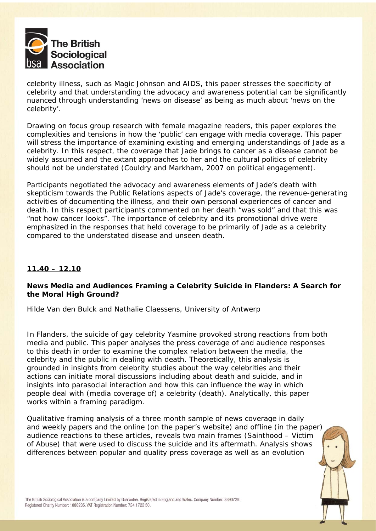

celebrity illness, such as Magic Johnson and AIDS, this paper stresses the specificity of celebrity and that understanding the advocacy and awareness potential can be significantly nuanced through understanding 'news on disease' as being as much about 'news on the celebrity'.

Drawing on focus group research with female magazine readers, this paper explores the complexities and tensions in how the 'public' can engage with media coverage. This paper will stress the importance of examining existing and emerging understandings of Jade as a celebrity. In this respect, the coverage that Jade brings to cancer as a disease cannot be widely assumed and the extant approaches to her and the cultural politics of celebrity should not be understated (Couldry and Markham, 2007 on political engagement).

Participants negotiated the advocacy and awareness elements of Jade's death with skepticism towards the Public Relations aspects of Jade's coverage, the revenue-generating activities of documenting the illness, and their own personal experiences of cancer and death. In this respect participants commented on her death "was sold" and that this was "not how cancer looks". The importance of celebrity and its promotional drive were emphasized in the responses that held coverage to be primarily of Jade as a celebrity compared to the understated disease and unseen death.

### **11.40 – 12.10**

#### **News Media and Audiences Framing a Celebrity Suicide in Flanders: A Search for the Moral High Ground?**

Hilde Van den Bulck and Nathalie Claessens*,* University of Antwerp

In Flanders, the suicide of gay celebrity Yasmine provoked strong reactions from both media and public. This paper analyses the press coverage of and audience responses to this death in order to examine the complex relation between the media, the celebrity and the public in dealing with death. Theoretically, this analysis is grounded in insights from celebrity studies about the way celebrities and their actions can initiate moral discussions including about death and suicide, and in insights into parasocial interaction and how this can influence the way in which people deal with (media coverage of) a celebrity (death). Analytically, this paper works within a framing paradigm.

Qualitative framing analysis of a three month sample of news coverage in daily and weekly papers and the online (on the paper's website) and offline (in the paper) audience reactions to these articles, reveals two main frames (Sainthood – Victim of Abuse) that were used to discuss the suicide and its aftermath. Analysis shows differences between popular and quality press coverage as well as an evolution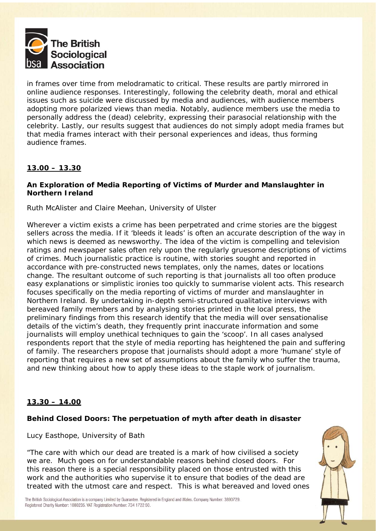

in frames over time from melodramatic to critical. These results are partly mirrored in online audience responses. Interestingly, following the celebrity death, moral and ethical issues such as suicide were discussed by media and audiences, with audience members adopting more polarized views than media. Notably, audience members use the media to personally address the (dead) celebrity, expressing their parasocial relationship with the celebrity. Lastly, our results suggest that audiences do not simply adopt media frames but that media frames interact with their personal experiences and ideas, thus forming audience frames.

#### **13.00 – 13.30**

#### **An Exploration of Media Reporting of Victims of Murder and Manslaughter in Northern Ireland**

Ruth McAlister and Claire Meehan, University of Ulster

Wherever a victim exists a crime has been perpetrated and crime stories are the biggest sellers across the media. If it 'bleeds it leads' is often an accurate description of the way in which news is deemed as newsworthy. The idea of the victim is compelling and television ratings and newspaper sales often rely upon the regularly gruesome descriptions of victims of crimes. Much journalistic practice is routine, with stories sought and reported in accordance with pre-constructed news templates, only the names, dates or locations change. The resultant outcome of such reporting is that journalists all too often produce easy explanations or simplistic ironies too quickly to summarise violent acts. This research focuses specifically on the media reporting of victims of murder and manslaughter in Northern Ireland. By undertaking in-depth semi-structured qualitative interviews with bereaved family members and by analysing stories printed in the local press, the preliminary findings from this research identify that the media will over sensationalise details of the victim's death, they frequently print inaccurate information and some journalists will employ unethical techniques to gain the 'scoop'. In all cases analysed respondents report that the style of media reporting has heightened the pain and suffering of family. The researchers propose that journalists should adopt a more 'humane' style of reporting that requires a new set of assumptions about the family who suffer the trauma, and new thinking about how to apply these ideas to the staple work of journalism.

#### **13.30 – 14.00**

#### **Behind Closed Doors: The perpetuation of myth after death in disaster**

Lucy Easthope, University of Bath

*"The care with which our dead are treated is a mark of how civilised a society we are. Much goes on for understandable reasons behind closed doors. For this reason there is a special responsibility placed on those entrusted with this work and the authorities who supervise it to ensure that bodies of the dead are treated with the utmost care and respect. This is what bereaved and loved ones* 

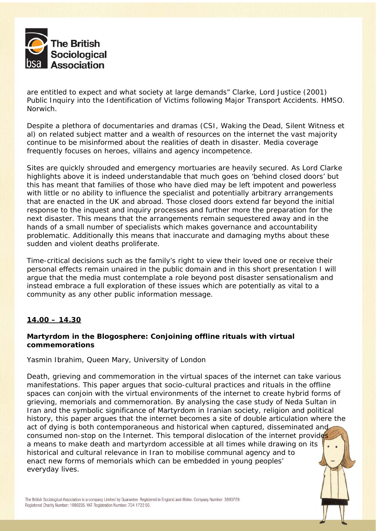

*are entitled to expect and what society at large demands"* Clarke, Lord Justice (2001) *Public Inquiry into the Identification of Victims following Major Transport Accidents.* HMSO. Norwich.

Despite a plethora of documentaries and dramas (CSI, Waking the Dead, Silent Witness et al) on related subject matter and a wealth of resources on the internet the vast majority continue to be misinformed about the realities of death in disaster. Media coverage frequently focuses on heroes, villains and agency incompetence.

Sites are quickly shrouded and emergency mortuaries are heavily secured. As Lord Clarke highlights above it is indeed understandable that much goes on 'behind closed doors' but this has meant that families of those who have died may be left impotent and powerless with little or no ability to influence the specialist and potentially arbitrary arrangements that are enacted in the UK and abroad. Those closed doors extend far beyond the initial response to the inquest and inquiry processes and further more the preparation for the next disaster. This means that the arrangements remain sequestered away and in the hands of a small number of specialists which makes governance and accountability problematic. Additionally this means that inaccurate and damaging myths about these sudden and violent deaths proliferate.

Time-critical decisions such as the family's right to view their loved one or receive their personal effects remain unaired in the public domain and in this short presentation I will argue that the media must contemplate a role beyond post disaster sensationalism and instead embrace a full exploration of these issues which are potentially as vital to a community as any other public information message.

#### **14.00 – 14.30**

#### **Martyrdom in the Blogosphere: Conjoining offline rituals with virtual commemorations**

Yasmin Ibrahim, Queen Mary, University of London

Death, grieving and commemoration in the virtual spaces of the internet can take various manifestations. This paper argues that socio-cultural practices and rituals in the offline spaces can conjoin with the virtual environments of the internet to create hybrid forms of grieving, memorials and commemoration. By analysing the case study of Neda Sultan in Iran and the symbolic significance of Martyrdom in Iranian society, religion and political history, this paper argues that the internet becomes a site of double articulation where the act of dying is both contemporaneous and historical when captured, disseminated and consumed non-stop on the Internet. This temporal dislocation of the internet provides a means to make death and martyrdom accessible at all times while drawing on its historical and cultural relevance in Iran to mobilise communal agency and to enact new forms of memorials which can be embedded in young peoples' everyday lives.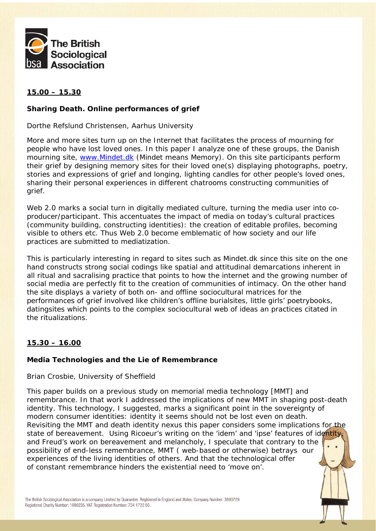

## **15.00 – 15.30**

#### **Sharing Death. Online performances of grief**

Dorthe Refslund Christensen, Aarhus University

More and more sites turn up on the Internet that facilitates the process of mourning for people who have lost loved ones. In this paper I analyze one of these groups, the Danish mourning site, [www.Mindet.dk](http://www.mindet.dk/) (*Mindet* means Memory). On this site participants perform their grief by designing memory sites for their loved one(s) displaying photographs, poetry, stories and expressions of grief and longing, lighting candles for other people's loved ones, sharing their personal experiences in different chatrooms constructing communities of grief.

Web 2.0 marks a social turn in digitally mediated culture, turning the media user into coproducer/participant. This accentuates the impact of media on today's cultural practices (community building, constructing identities): the creation of editable profiles, becoming visible to others etc. Thus Web 2.0 become emblematic of how society and our life practices are submitted to mediatization.

This is particularly interesting in regard to sites such as Mindet.dk since this site on the one hand constructs strong social codings like spatial and attitudinal demarcations inherent in all ritual and sacralising practice that points to how the internet and the growing number of social media are perfectly fit to the creation of communities of intimacy. On the other hand the site displays a variety of both on- and offline sociocultural matrices for the performances of grief involved like children's offline burialsites, little girls' poetrybooks, datingsites which points to the complex sociocultural web of ideas an practices citated in the ritualizations.

#### **15.30 – 16.00**

#### **Media Technologies and the Lie of Remembrance**

#### Brian Crosbie, University of Sheffield

This paper builds on a previous study on memorial media technology [MMT] and remembrance. In that work I addressed the implications of new MMT in shaping post-death identity. This technology, I suggested, marks a significant point in the sovereignty of modern consumer identities: identity it seems should not be lost even on death. Revisiting the MMT and death identity nexus this paper considers some implications for the state of bereavement. Using Ricoeur's writing on the 'idem' and 'ipse' features of identity and Freud's work on bereavement and melancholy, I speculate that contrary to the possibility of end-less remembrance, MMT ( web-based or otherwise) betrays our experiences of the living identities of others. And that the technological offer of constant remembrance hinders the existential need to 'move on'.